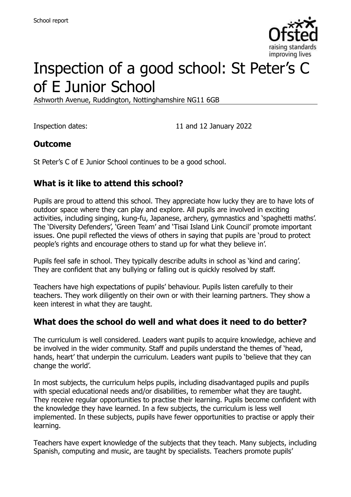

# Inspection of a good school: St Peter's C of E Junior School

Ashworth Avenue, Ruddington, Nottinghamshire NG11 6GB

Inspection dates: 11 and 12 January 2022

# **Outcome**

St Peter's C of E Junior School continues to be a good school.

# **What is it like to attend this school?**

Pupils are proud to attend this school. They appreciate how lucky they are to have lots of outdoor space where they can play and explore. All pupils are involved in exciting activities, including singing, kung-fu, Japanese, archery, gymnastics and 'spaghetti maths'. The 'Diversity Defenders', 'Green Team' and 'Tisai Island Link Council' promote important issues. One pupil reflected the views of others in saying that pupils are 'proud to protect people's rights and encourage others to stand up for what they believe in'.

Pupils feel safe in school. They typically describe adults in school as 'kind and caring'. They are confident that any bullying or falling out is quickly resolved by staff.

Teachers have high expectations of pupils' behaviour. Pupils listen carefully to their teachers. They work diligently on their own or with their learning partners. They show a keen interest in what they are taught.

### **What does the school do well and what does it need to do better?**

The curriculum is well considered. Leaders want pupils to acquire knowledge, achieve and be involved in the wider community. Staff and pupils understand the themes of 'head, hands, heart' that underpin the curriculum. Leaders want pupils to 'believe that they can change the world'.

In most subjects, the curriculum helps pupils, including disadvantaged pupils and pupils with special educational needs and/or disabilities, to remember what they are taught. They receive regular opportunities to practise their learning. Pupils become confident with the knowledge they have learned. In a few subjects, the curriculum is less well implemented. In these subjects, pupils have fewer opportunities to practise or apply their learning.

Teachers have expert knowledge of the subjects that they teach. Many subjects, including Spanish, computing and music, are taught by specialists. Teachers promote pupils'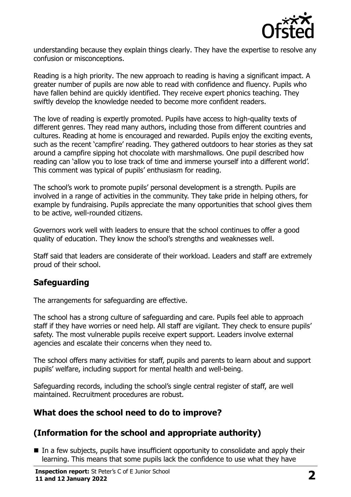

understanding because they explain things clearly. They have the expertise to resolve any confusion or misconceptions.

Reading is a high priority. The new approach to reading is having a significant impact. A greater number of pupils are now able to read with confidence and fluency. Pupils who have fallen behind are quickly identified. They receive expert phonics teaching. They swiftly develop the knowledge needed to become more confident readers.

The love of reading is expertly promoted. Pupils have access to high-quality texts of different genres. They read many authors, including those from different countries and cultures. Reading at home is encouraged and rewarded. Pupils enjoy the exciting events, such as the recent 'campfire' reading. They gathered outdoors to hear stories as they sat around a campfire sipping hot chocolate with marshmallows. One pupil described how reading can 'allow you to lose track of time and immerse yourself into a different world'. This comment was typical of pupils' enthusiasm for reading.

The school's work to promote pupils' personal development is a strength. Pupils are involved in a range of activities in the community. They take pride in helping others, for example by fundraising. Pupils appreciate the many opportunities that school gives them to be active, well-rounded citizens.

Governors work well with leaders to ensure that the school continues to offer a good quality of education. They know the school's strengths and weaknesses well.

Staff said that leaders are considerate of their workload. Leaders and staff are extremely proud of their school.

### **Safeguarding**

The arrangements for safeguarding are effective.

The school has a strong culture of safeguarding and care. Pupils feel able to approach staff if they have worries or need help. All staff are vigilant. They check to ensure pupils' safety. The most vulnerable pupils receive expert support. Leaders involve external agencies and escalate their concerns when they need to.

The school offers many activities for staff, pupils and parents to learn about and support pupils' welfare, including support for mental health and well-being.

Safeguarding records, including the school's single central register of staff, are well maintained. Recruitment procedures are robust.

### **What does the school need to do to improve?**

# **(Information for the school and appropriate authority)**

In a few subjects, pupils have insufficient opportunity to consolidate and apply their learning. This means that some pupils lack the confidence to use what they have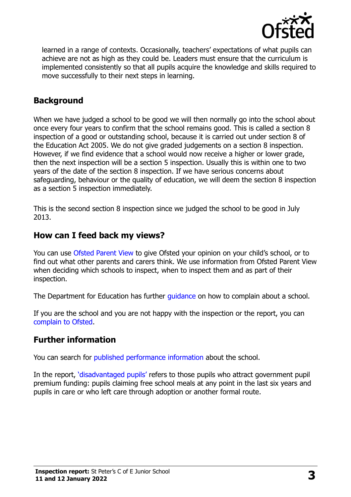

learned in a range of contexts. Occasionally, teachers' expectations of what pupils can achieve are not as high as they could be. Leaders must ensure that the curriculum is implemented consistently so that all pupils acquire the knowledge and skills required to move successfully to their next steps in learning.

# **Background**

When we have judged a school to be good we will then normally go into the school about once every four years to confirm that the school remains good. This is called a section 8 inspection of a good or outstanding school, because it is carried out under section 8 of the Education Act 2005. We do not give graded judgements on a section 8 inspection. However, if we find evidence that a school would now receive a higher or lower grade, then the next inspection will be a section 5 inspection. Usually this is within one to two years of the date of the section 8 inspection. If we have serious concerns about safeguarding, behaviour or the quality of education, we will deem the section 8 inspection as a section 5 inspection immediately.

This is the second section 8 inspection since we judged the school to be good in July 2013.

### **How can I feed back my views?**

You can use [Ofsted Parent View](https://parentview.ofsted.gov.uk/) to give Ofsted your opinion on your child's school, or to find out what other parents and carers think. We use information from Ofsted Parent View when deciding which schools to inspect, when to inspect them and as part of their inspection.

The Department for Education has further quidance on how to complain about a school.

If you are the school and you are not happy with the inspection or the report, you can [complain to Ofsted.](https://www.gov.uk/complain-ofsted-report)

### **Further information**

You can search for [published performance](http://www.compare-school-performance.service.gov.uk/) information about the school.

In the report, '[disadvantaged pupils](http://www.gov.uk/guidance/pupil-premium-information-for-schools-and-alternative-provision-settings)' refers to those pupils who attract government pupil premium funding: pupils claiming free school meals at any point in the last six years and pupils in care or who left care through adoption or another formal route.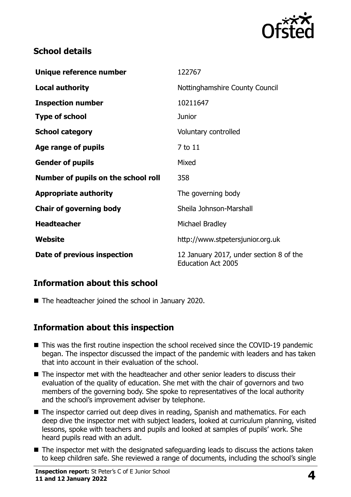

# **School details**

| Unique reference number             | 122767                                                               |
|-------------------------------------|----------------------------------------------------------------------|
| <b>Local authority</b>              | Nottinghamshire County Council                                       |
| <b>Inspection number</b>            | 10211647                                                             |
| <b>Type of school</b>               | <b>Junior</b>                                                        |
| <b>School category</b>              | Voluntary controlled                                                 |
| Age range of pupils                 | 7 to 11                                                              |
| <b>Gender of pupils</b>             | Mixed                                                                |
| Number of pupils on the school roll | 358                                                                  |
| <b>Appropriate authority</b>        | The governing body                                                   |
| <b>Chair of governing body</b>      | Sheila Johnson-Marshall                                              |
| <b>Headteacher</b>                  | Michael Bradley                                                      |
| Website                             | http://www.stpetersjunior.org.uk                                     |
| Date of previous inspection         | 12 January 2017, under section 8 of the<br><b>Education Act 2005</b> |

# **Information about this school**

■ The headteacher joined the school in January 2020.

### **Information about this inspection**

- This was the first routine inspection the school received since the COVID-19 pandemic began. The inspector discussed the impact of the pandemic with leaders and has taken that into account in their evaluation of the school.
- The inspector met with the headteacher and other senior leaders to discuss their evaluation of the quality of education. She met with the chair of governors and two members of the governing body. She spoke to representatives of the local authority and the school's improvement adviser by telephone.
- The inspector carried out deep dives in reading, Spanish and mathematics. For each deep dive the inspector met with subject leaders, looked at curriculum planning, visited lessons, spoke with teachers and pupils and looked at samples of pupils' work. She heard pupils read with an adult.
- The inspector met with the designated safeguarding leads to discuss the actions taken to keep children safe. She reviewed a range of documents, including the school's single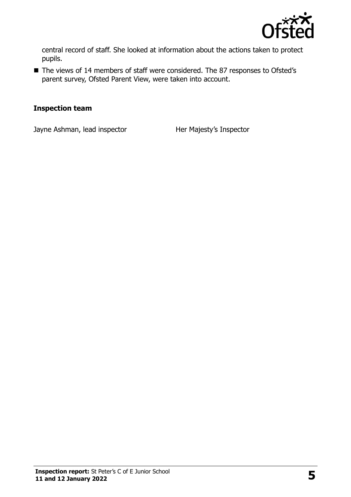

central record of staff. She looked at information about the actions taken to protect pupils.

■ The views of 14 members of staff were considered. The 87 responses to Ofsted's parent survey, Ofsted Parent View, were taken into account.

#### **Inspection team**

Jayne Ashman, lead inspector **Her Majesty's Inspector**